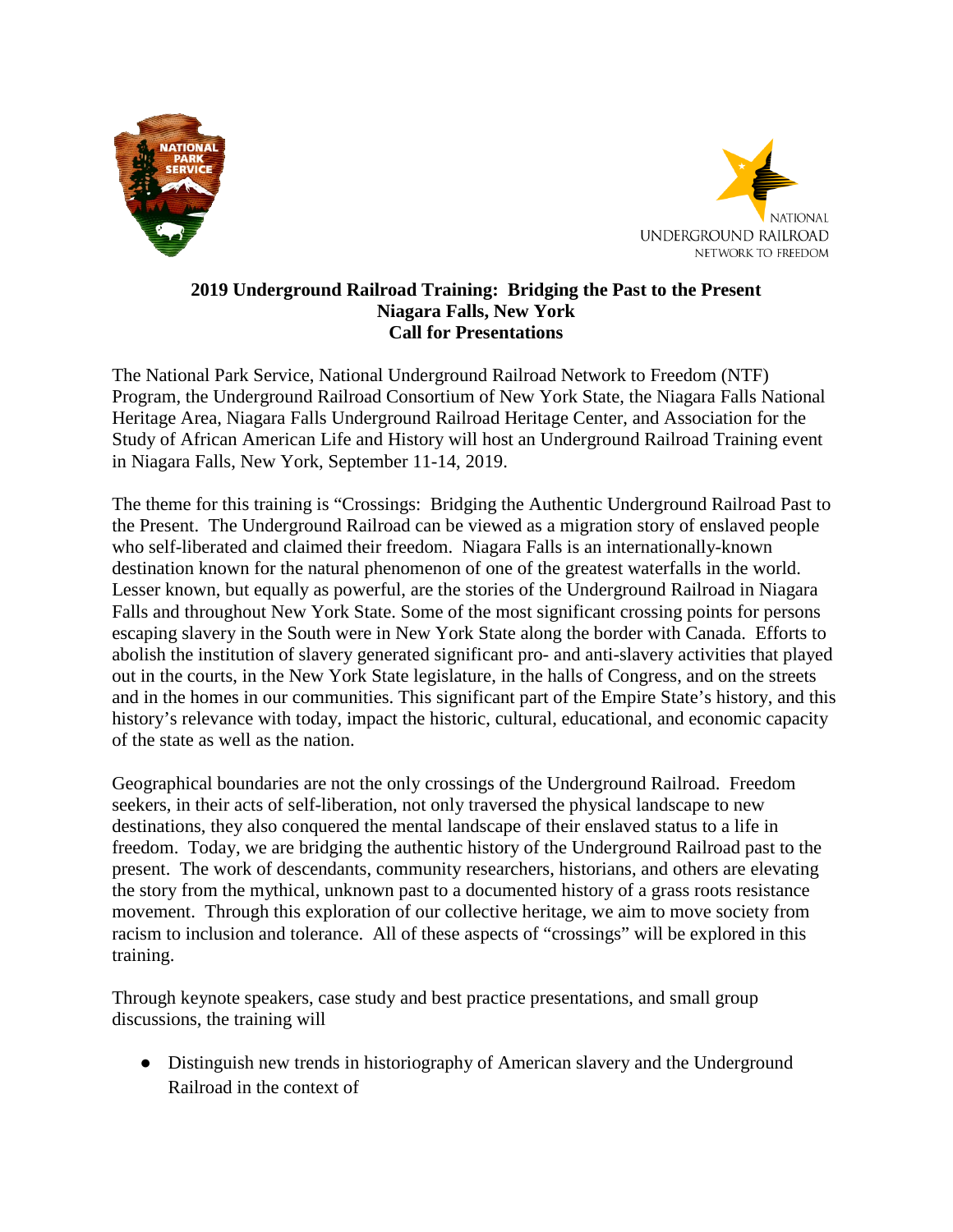



## **2019 Underground Railroad Training: Bridging the Past to the Present Niagara Falls, New York Call for Presentations**

The National Park Service, National Underground Railroad Network to Freedom (NTF) Program, the Underground Railroad Consortium of New York State, the Niagara Falls National Heritage Area, Niagara Falls Underground Railroad Heritage Center, and Association for the Study of African American Life and History will host an Underground Railroad Training event in Niagara Falls, New York, September 11-14, 2019.

The theme for this training is "Crossings: Bridging the Authentic Underground Railroad Past to the Present. The Underground Railroad can be viewed as a migration story of enslaved people who self-liberated and claimed their freedom. Niagara Falls is an internationally-known destination known for the natural phenomenon of one of the greatest waterfalls in the world. Lesser known, but equally as powerful, are the stories of the Underground Railroad in Niagara Falls and throughout New York State. Some of the most significant crossing points for persons escaping slavery in the South were in New York State along the border with Canada. Efforts to abolish the institution of slavery generated significant pro- and anti-slavery activities that played out in the courts, in the New York State legislature, in the halls of Congress, and on the streets and in the homes in our communities. This significant part of the Empire State's history, and this history's relevance with today, impact the historic, cultural, educational, and economic capacity of the state as well as the nation.

Geographical boundaries are not the only crossings of the Underground Railroad. Freedom seekers, in their acts of self-liberation, not only traversed the physical landscape to new destinations, they also conquered the mental landscape of their enslaved status to a life in freedom. Today, we are bridging the authentic history of the Underground Railroad past to the present. The work of descendants, community researchers, historians, and others are elevating the story from the mythical, unknown past to a documented history of a grass roots resistance movement. Through this exploration of our collective heritage, we aim to move society from racism to inclusion and tolerance. All of these aspects of "crossings" will be explored in this training.

Through keynote speakers, case study and best practice presentations, and small group discussions, the training will

• Distinguish new trends in historiography of American slavery and the Underground Railroad in the context of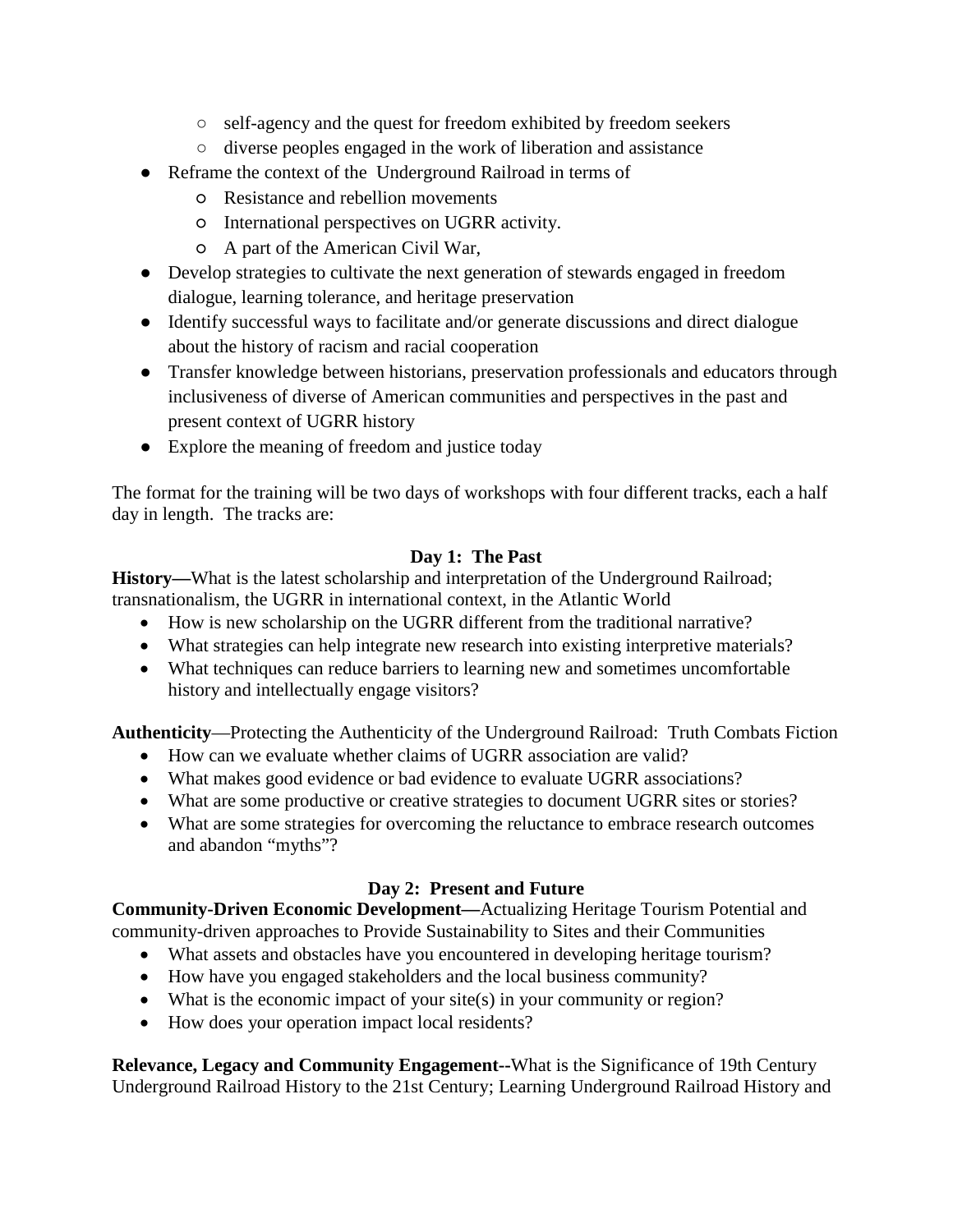- self-agency and the quest for freedom exhibited by freedom seekers
- diverse peoples engaged in the work of liberation and assistance
- Reframe the context of the Underground Railroad in terms of
	- Resistance and rebellion movements
	- International perspectives on UGRR activity.
	- A part of the American Civil War,
- Develop strategies to cultivate the next generation of stewards engaged in freedom dialogue, learning tolerance, and heritage preservation
- Identify successful ways to facilitate and/or generate discussions and direct dialogue about the history of racism and racial cooperation
- Transfer knowledge between historians, preservation professionals and educators through inclusiveness of diverse of American communities and perspectives in the past and present context of UGRR history
- Explore the meaning of freedom and justice today

The format for the training will be two days of workshops with four different tracks, each a half day in length. The tracks are:

## **Day 1: The Past**

**History—**What is the latest scholarship and interpretation of the Underground Railroad; transnationalism, the UGRR in international context, in the Atlantic World

- How is new scholarship on the UGRR different from the traditional narrative?
- What strategies can help integrate new research into existing interpretive materials?
- What techniques can reduce barriers to learning new and sometimes uncomfortable history and intellectually engage visitors?

**Authenticity**—Protecting the Authenticity of the Underground Railroad: Truth Combats Fiction

- How can we evaluate whether claims of UGRR association are valid?
- What makes good evidence or bad evidence to evaluate UGRR associations?
- What are some productive or creative strategies to document UGRR sites or stories?
- What are some strategies for overcoming the reluctance to embrace research outcomes and abandon "myths"?

## **Day 2: Present and Future**

**Community-Driven Economic Development—**Actualizing Heritage Tourism Potential and community-driven approaches to Provide Sustainability to Sites and their Communities

- What assets and obstacles have you encountered in developing heritage tourism?
- How have you engaged stakeholders and the local business community?
- What is the economic impact of your site(s) in your community or region?
- How does your operation impact local residents?

**Relevance, Legacy and Community Engagement--**What is the Significance of 19th Century Underground Railroad History to the 21st Century; Learning Underground Railroad History and